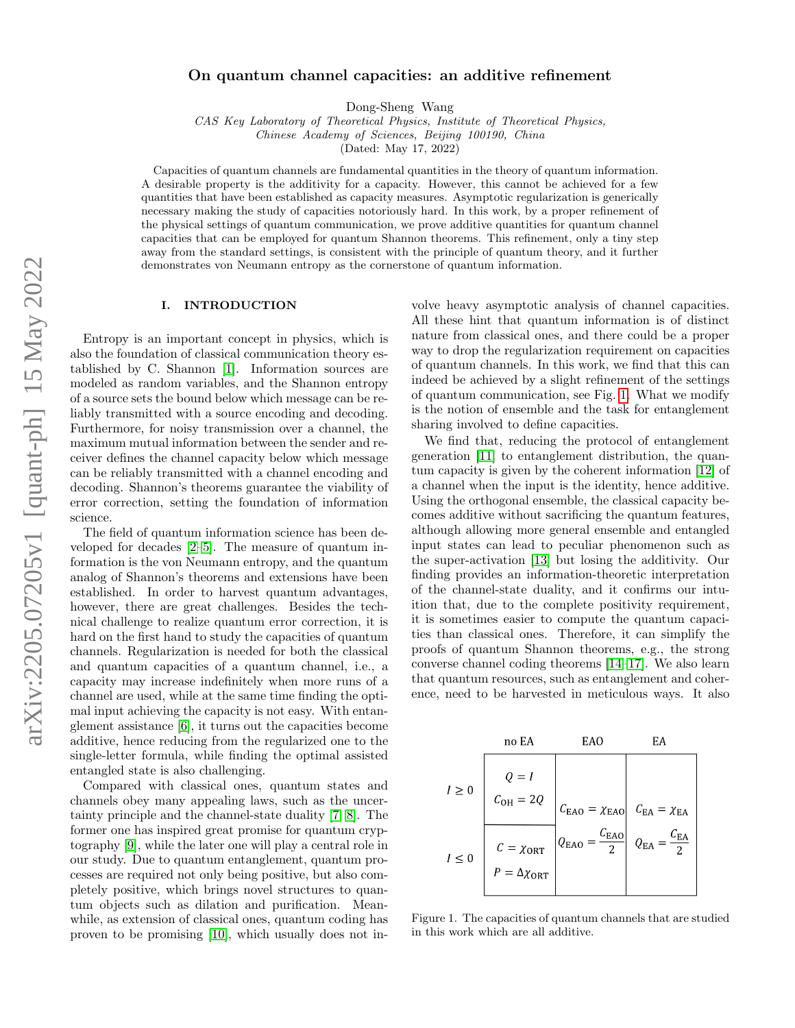# On quantum channel capacities: an additive refinement

Dong-Sheng Wang

CAS Key Laboratory of Theoretical Physics, Institute of Theoretical Physics, Chinese Academy of Sciences, Beijing 100190, China

(Dated: May 17, 2022)

Capacities of quantum channels are fundamental quantities in the theory of quantum information. A desirable property is the additivity for a capacity. However, this cannot be achieved for a few quantities that have been established as capacity measures. Asymptotic regularization is generically necessary making the study of capacities notoriously hard. In this work, by a proper refinement of the physical settings of quantum communication, we prove additive quantities for quantum channel capacities that can be employed for quantum Shannon theorems. This refinement, only a tiny step away from the standard settings, is consistent with the principle of quantum theory, and it further demonstrates von Neumann entropy as the cornerstone of quantum information.

# I. INTRODUCTION

Entropy is an important concept in physics, which is also the foundation of classical communication theory established by C. Shannon [\[1\]](#page-7-0). Information sources are modeled as random variables, and the Shannon entropy of a source sets the bound below which message can be reliably transmitted with a source encoding and decoding. Furthermore, for noisy transmission over a channel, the maximum mutual information between the sender and receiver defines the channel capacity below which message can be reliably transmitted with a channel encoding and decoding. Shannon's theorems guarantee the viability of error correction, setting the foundation of information science.

The field of quantum information science has been developed for decades [\[2](#page-7-1)[–5\]](#page-7-2). The measure of quantum information is the von Neumann entropy, and the quantum analog of Shannon's theorems and extensions have been established. In order to harvest quantum advantages, however, there are great challenges. Besides the technical challenge to realize quantum error correction, it is hard on the first hand to study the capacities of quantum channels. Regularization is needed for both the classical and quantum capacities of a quantum channel, i.e., a capacity may increase indefinitely when more runs of a channel are used, while at the same time finding the optimal input achieving the capacity is not easy. With entanglement assistance [\[6\]](#page-7-3), it turns out the capacities become additive, hence reducing from the regularized one to the single-letter formula, while finding the optimal assisted entangled state is also challenging.

Compared with classical ones, quantum states and channels obey many appealing laws, such as the uncertainty principle and the channel-state duality [\[7,](#page-7-4) [8\]](#page-7-5). The former one has inspired great promise for quantum cryptography [\[9\]](#page-7-6), while the later one will play a central role in our study. Due to quantum entanglement, quantum processes are required not only being positive, but also completely positive, which brings novel structures to quantum objects such as dilation and purification. Meanwhile, as extension of classical ones, quantum coding has proven to be promising [\[10\]](#page-7-7), which usually does not in-

volve heavy asymptotic analysis of channel capacities. All these hint that quantum information is of distinct nature from classical ones, and there could be a proper way to drop the regularization requirement on capacities of quantum channels. In this work, we find that this can indeed be achieved by a slight refinement of the settings of quantum communication, see Fig. [1.](#page-0-0) What we modify is the notion of ensemble and the task for entanglement sharing involved to define capacities.

We find that, reducing the protocol of entanglement generation [\[11\]](#page-7-8) to entanglement distribution, the quantum capacity is given by the coherent information [\[12\]](#page-7-9) of a channel when the input is the identity, hence additive. Using the orthogonal ensemble, the classical capacity becomes additive without sacrificing the quantum features, although allowing more general ensemble and entangled input states can lead to peculiar phenomenon such as the super-activation [\[13\]](#page-7-10) but losing the additivity. Our finding provides an information-theoretic interpretation of the channel-state duality, and it confirms our intuition that, due to the complete positivity requirement, it is sometimes easier to compute the quantum capacities than classical ones. Therefore, it can simplify the proofs of quantum Shannon theorems, e.g., the strong converse channel coding theorems [\[14–](#page-7-11)[17\]](#page-7-12). We also learn that quantum resources, such as entanglement and coherence, need to be harvested in meticulous ways. It also



<span id="page-0-0"></span>Figure 1. The capacities of quantum channels that are studied in this work which are all additive.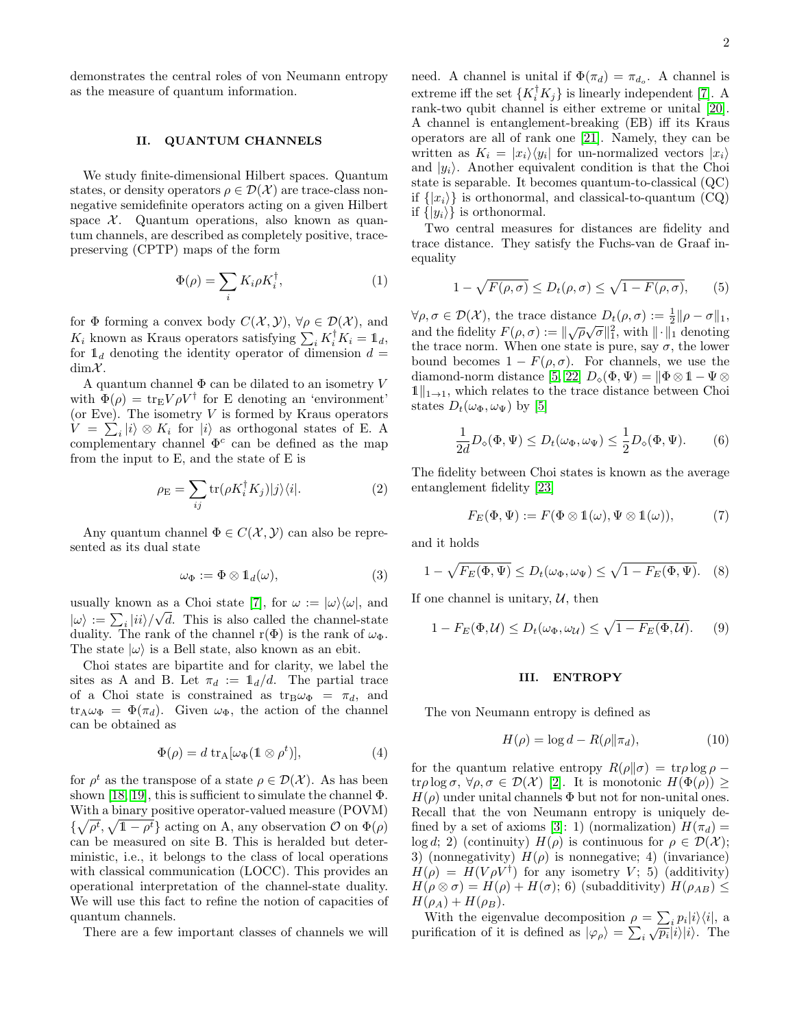demonstrates the central roles of von Neumann entropy as the measure of quantum information.

### II. QUANTUM CHANNELS

We study finite-dimensional Hilbert spaces. Quantum states, or density operators  $\rho \in \mathcal{D}(\mathcal{X})$  are trace-class nonnegative semidefinite operators acting on a given Hilbert space  $X$ . Quantum operations, also known as quantum channels, are described as completely positive, tracepreserving (CPTP) maps of the form

$$
\Phi(\rho) = \sum_{i} K_i \rho K_i^{\dagger}, \tag{1}
$$

for  $\Phi$  forming a convex body  $C(\mathcal{X}, \mathcal{Y}), \forall \rho \in \mathcal{D}(\mathcal{X}),$  and  $K_i$  known as Kraus operators satisfying  $\sum_i K_i^{\dagger} K_i = \mathbb{1}_d$ , for  $\mathbb{1}_d$  denoting the identity operator of dimension  $d =$  $dim X$ .

A quantum channel  $\Phi$  can be dilated to an isometry V with  $\Phi(\rho) = \text{tr}_{\mathbf{E}} V \rho V^{\dagger}$  for E denoting an 'environment' (or Eve). The isometry  $V$  is formed by Kraus operators  $V = \sum_i |i\rangle \otimes K_i$  for  $|i\rangle$  as orthogonal states of E. A complementary channel  $\Phi^c$  can be defined as the map from the input to E, and the state of E is

$$
\rho_{\rm E} = \sum_{ij} {\rm tr}(\rho K_i^{\dagger} K_j)|j\rangle\langle i|.
$$
 (2)

Any quantum channel  $\Phi \in C(\mathcal{X}, \mathcal{Y})$  can also be represented as its dual state

$$
\omega_{\Phi} := \Phi \otimes \mathbb{1}_d(\omega), \tag{3}
$$

usually known as a Choi state [\[7\]](#page-7-4), for  $\omega := |\omega\rangle\langle\omega|$ , and  $|\omega\rangle := \sum_i |ii\rangle / \sqrt{d}$ . This is also called the channel-state duality. The rank of the channel r( $\Phi$ ) is the rank of  $\omega_{\Phi}$ . The state  $|\omega\rangle$  is a Bell state, also known as an ebit.

Choi states are bipartite and for clarity, we label the sites as A and B. Let  $\pi_d := \mathbb{1}_d/d$ . The partial trace of a Choi state is constrained as  $tr_B\omega_{\Phi} = \pi_d$ , and  $tr_{A}\omega_{\Phi} = \Phi(\pi_d)$ . Given  $\omega_{\Phi}$ , the action of the channel can be obtained as

$$
\Phi(\rho) = d \operatorname{tr}_{A}[\omega_{\Phi}(\mathbb{1} \otimes \rho^{t})], \tag{4}
$$

for  $\rho^t$  as the transpose of a state  $\rho \in \mathcal{D}(\mathcal{X})$ . As has been shown [\[18,](#page-7-13) [19\]](#page-7-14), this is sufficient to simulate the channel  $\Phi$ . With a binary positive operator-valued measure (POVM)  $\{\sqrt{\rho^t}, \sqrt{1-\rho^t}\}\$ acting on A, any observation  $\mathcal{O}$  on  $\Phi(\rho)$ can be measured on site B. This is heralded but deterministic, i.e., it belongs to the class of local operations with classical communication (LOCC). This provides an operational interpretation of the channel-state duality. We will use this fact to refine the notion of capacities of quantum channels.

There are a few important classes of channels we will

need. A channel is unital if  $\Phi(\pi_d) = \pi_{d_o}$ . A channel is extreme iff the set  $\{K_i^{\dagger} K_j\}$  is linearly independent [\[7\]](#page-7-4). A rank-two qubit channel is either extreme or unital [\[20\]](#page-7-15). A channel is entanglement-breaking (EB) iff its Kraus operators are all of rank one [\[21\]](#page-7-16). Namely, they can be written as  $K_i = |x_i\rangle\langle y_i|$  for un-normalized vectors  $|x_i\rangle$ and  $|y_i\rangle$ . Another equivalent condition is that the Choi state is separable. It becomes quantum-to-classical (QC) if  $\{|x_i\rangle\}$  is orthonormal, and classical-to-quantum (CQ) if  $\{|y_i\rangle\}$  is orthonormal.

Two central measures for distances are fidelity and trace distance. They satisfy the Fuchs-van de Graaf inequality

<span id="page-1-0"></span>
$$
1 - \sqrt{F(\rho, \sigma)} \le D_t(\rho, \sigma) \le \sqrt{1 - F(\rho, \sigma)}, \qquad (5)
$$

 $\forall \rho, \sigma \in \mathcal{D}(\mathcal{X})$ , the trace distance  $D_t(\rho, \sigma) := \frac{1}{2} || \rho - \sigma ||_1$ , and the fidelity  $F(\rho, \sigma) := \|\sqrt{\rho}\sqrt{\sigma}\|_1^2$ , with  $\|\cdot\|_1$  denoting the trace norm. When one state is pure, say  $\sigma$ , the lower bound becomes  $1 - F(\rho, \sigma)$ . For channels, we use the diamond-norm distance [\[5,](#page-7-2) [22\]](#page-7-17)  $D_{\diamond}(\Phi, \Psi) = ||\Phi \otimes \mathbb{1} - \Psi \otimes$  $1\|_{1\to 1}$ , which relates to the trace distance between Choi states  $D_t(\omega_{\Phi}, \omega_{\Psi})$  by [\[5\]](#page-7-2)

<span id="page-1-1"></span>
$$
\frac{1}{2d}D_{\diamond}(\Phi,\Psi) \le D_t(\omega_{\Phi},\omega_{\Psi}) \le \frac{1}{2}D_{\diamond}(\Phi,\Psi). \tag{6}
$$

The fidelity between Choi states is known as the average entanglement fidelity [\[23\]](#page-7-18)

$$
F_E(\Phi, \Psi) := F(\Phi \otimes \mathbb{1}(\omega), \Psi \otimes \mathbb{1}(\omega)), \tag{7}
$$

and it holds

$$
1 - \sqrt{F_E(\Phi, \Psi)} \le D_t(\omega_{\Phi}, \omega_{\Psi}) \le \sqrt{1 - F_E(\Phi, \Psi)}.
$$
 (8)

If one channel is unitary,  $U$ , then

$$
1 - F_E(\Phi, \mathcal{U}) \le D_t(\omega_{\Phi}, \omega_{\mathcal{U}}) \le \sqrt{1 - F_E(\Phi, \mathcal{U})}. \tag{9}
$$

#### III. ENTROPY

The von Neumann entropy is defined as

$$
H(\rho) = \log d - R(\rho || \pi_d),\tag{10}
$$

for the quantum relative entropy  $R(\rho||\sigma) = \text{tr}\rho \log \rho$ tr $\rho \log \sigma$ ,  $\forall \rho, \sigma \in \mathcal{D}(\mathcal{X})$  [\[2\]](#page-7-1). It is monotonic  $H(\Phi(\rho)) \geq$  $H(\rho)$  under unital channels  $\Phi$  but not for non-unital ones. Recall that the von Neumann entropy is uniquely de-fined by a set of axioms [\[3\]](#page-7-19): 1) (normalization)  $H(\pi_d)$  = log d; 2) (continuity)  $H(\rho)$  is continuous for  $\rho \in \mathcal{D}(\mathcal{X})$ ; 3) (nonnegativity)  $H(\rho)$  is nonnegative; 4) (invariance)  $H(\rho) = H(V\rho V^{\dagger})$  for any isometry V; 5) (additivity)  $H(\rho \otimes \sigma) = H(\rho) + H(\sigma); 6)$  (subadditivity)  $H(\rho_{AB}) \leq$  $H(\rho_A) + H(\rho_B)$ .

With the eigenvalue decomposition  $\rho = \sum_i p_i |i\rangle\langle i|$ , a with the eigenvalue decomposition  $p = \sum_i p_i |i\rangle\langle i|$ , a<br>purification of it is defined as  $|\varphi_{\rho}\rangle = \sum_i \sqrt{p_i} |i\rangle|i\rangle$ . The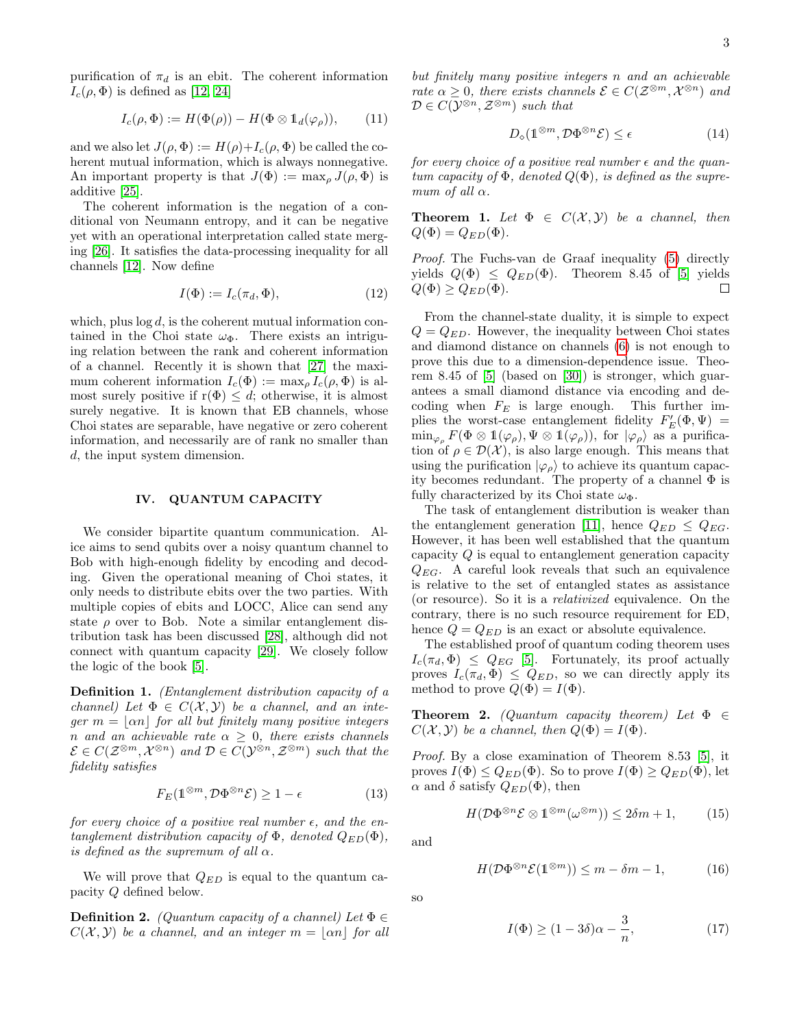purification of  $\pi_d$  is an ebit. The coherent information  $I_c(\rho, \Phi)$  is defined as [\[12,](#page-7-9) [24\]](#page-7-20)

$$
I_c(\rho, \Phi) := H(\Phi(\rho)) - H(\Phi \otimes \mathbb{1}_d(\varphi_\rho)), \qquad (11)
$$

and we also let  $J(\rho, \Phi) := H(\rho) + I_c(\rho, \Phi)$  be called the coherent mutual information, which is always nonnegative. An important property is that  $J(\Phi) := \max_{\rho} J(\rho, \Phi)$  is additive [\[25\]](#page-7-21).

The coherent information is the negation of a conditional von Neumann entropy, and it can be negative yet with an operational interpretation called state merging [\[26\]](#page-7-22). It satisfies the data-processing inequality for all channels [\[12\]](#page-7-9). Now define

$$
I(\Phi) := I_c(\pi_d, \Phi),\tag{12}
$$

which, plus  $\log d$ , is the coherent mutual information contained in the Choi state  $\omega_{\Phi}$ . There exists an intriguing relation between the rank and coherent information of a channel. Recently it is shown that [\[27\]](#page-7-23) the maximum coherent information  $I_c(\Phi) := \max_{\rho} I_c(\rho, \Phi)$  is almost surely positive if  $r(\Phi) \leq d$ ; otherwise, it is almost surely negative. It is known that EB channels, whose Choi states are separable, have negative or zero coherent information, and necessarily are of rank no smaller than d, the input system dimension.

### IV. QUANTUM CAPACITY

We consider bipartite quantum communication. Alice aims to send qubits over a noisy quantum channel to Bob with high-enough fidelity by encoding and decoding. Given the operational meaning of Choi states, it only needs to distribute ebits over the two parties. With multiple copies of ebits and LOCC, Alice can send any state  $\rho$  over to Bob. Note a similar entanglement distribution task has been discussed [\[28\]](#page-7-24), although did not connect with quantum capacity [\[29\]](#page-7-25). We closely follow the logic of the book [\[5\]](#page-7-2).

Definition 1. (Entanglement distribution capacity of a channel) Let  $\Phi \in C(\mathcal{X}, \mathcal{Y})$  be a channel, and an integer  $m = |\alpha n|$  for all but finitely many positive integers n and an achievable rate  $\alpha > 0$ , there exists channels  $\mathcal{E} \in C(\mathcal{Z}^{\otimes m}, \mathcal{X}^{\otimes n})$  and  $\mathcal{D} \in C(\mathcal{Y}^{\otimes n}, \mathcal{Z}^{\otimes m})$  such that the fidelity satisfies

$$
F_E(\mathbb{1}^{\otimes m}, \mathcal{D}\Phi^{\otimes n}\mathcal{E}) \ge 1 - \epsilon \tag{13}
$$

for every choice of a positive real number  $\epsilon$ , and the entanglement distribution capacity of  $\Phi$ , denoted  $Q_{ED}(\Phi)$ , is defined as the supremum of all  $\alpha$ .

We will prove that  $Q_{ED}$  is equal to the quantum capacity Q defined below.

**Definition 2.** (Quantum capacity of a channel) Let  $\Phi \in$  $C(\mathcal{X}, \mathcal{Y})$  be a channel, and an integer  $m = |\alpha n|$  for all but finitely many positive integers n and an achievable rate  $\alpha \geq 0$ , there exists channels  $\mathcal{E} \in C(\mathcal{Z}^{\otimes m}, \mathcal{X}^{\otimes n})$  and  $D \in C(\mathcal{Y}^{\otimes n}, \mathcal{Z}^{\otimes m})$  such that

$$
D_{\diamond}(\mathbb{1}^{\otimes m}, \mathcal{D}\Phi^{\otimes n}\mathcal{E}) \le \epsilon \tag{14}
$$

for every choice of a positive real number  $\epsilon$  and the quantum capacity of  $\Phi$ , denoted  $Q(\Phi)$ , is defined as the supremum of all  $\alpha$ .

**Theorem 1.** Let  $\Phi \in C(\mathcal{X}, \mathcal{Y})$  be a channel, then  $Q(\Phi) = Q_{ED}(\Phi)$ .

Proof. The Fuchs-van de Graaf inequality [\(5\)](#page-1-0) directly yields  $Q(\Phi) \leq Q_{ED}(\Phi)$ . Theorem 8.45 of [\[5\]](#page-7-2) yields  $Q(\Phi) \geq Q_{ED}(\Phi)$ .  $\Box$ 

From the channel-state duality, it is simple to expect  $Q = Q_{ED}$ . However, the inequality between Choi states and diamond distance on channels [\(6\)](#page-1-1) is not enough to prove this due to a dimension-dependence issue. Theorem 8.45 of [\[5\]](#page-7-2) (based on [\[30\]](#page-7-26)) is stronger, which guarantees a small diamond distance via encoding and decoding when  $F_E$  is large enough. This further implies the worst-case entanglement fidelity  $F'_E(\Phi, \Psi) =$  $\min_{\varphi_{\rho}} F(\Phi \otimes \mathbb{1}(\varphi_{\rho}), \Psi \otimes \mathbb{1}(\varphi_{\rho}))$ , for  $|\varphi_{\rho}\rangle$  as a purification of  $\rho \in \mathcal{D}(\mathcal{X})$ , is also large enough. This means that using the purification  $|\varphi_{\rho}\rangle$  to achieve its quantum capacity becomes redundant. The property of a channel  $\Phi$  is fully characterized by its Choi state  $\omega_{\Phi}$ .

The task of entanglement distribution is weaker than the entanglement generation [\[11\]](#page-7-8), hence  $Q_{ED} \leq Q_{EG}$ . However, it has been well established that the quantum capacity Q is equal to entanglement generation capacity  $Q_{EG}$ . A careful look reveals that such an equivalence is relative to the set of entangled states as assistance (or resource). So it is a relativized equivalence. On the contrary, there is no such resource requirement for ED, hence  $Q = Q_{ED}$  is an exact or absolute equivalence.

The established proof of quantum coding theorem uses  $I_c(\pi_d, \Phi) \leq Q_{EG}$  [\[5\]](#page-7-2). Fortunately, its proof actually proves  $I_c(\pi_d, \Phi) \leq Q_{ED}$ , so we can directly apply its method to prove  $Q(\Phi) = I(\Phi)$ .

**Theorem 2.** (Quantum capacity theorem) Let  $\Phi \in$  $C(\mathcal{X}, \mathcal{Y})$  be a channel, then  $Q(\Phi) = I(\Phi)$ .

Proof. By a close examination of Theorem 8.53 [\[5\]](#page-7-2), it proves  $I(\Phi) \leq Q_{ED}(\Phi)$ . So to prove  $I(\Phi) \geq Q_{ED}(\Phi)$ , let  $\alpha$  and  $\delta$  satisfy  $Q_{ED}(\Phi)$ , then

$$
H(\mathcal{D}\Phi^{\otimes n}\mathcal{E}\otimes 1^{\otimes m}(\omega^{\otimes m}))\leq 2\delta m+1,\qquad(15)
$$

and

$$
H(\mathcal{D}\Phi^{\otimes n}\mathcal{E}(\mathbb{1}^{\otimes m})) \le m - \delta m - 1,\tag{16}
$$

so

$$
I(\Phi) \ge (1 - 3\delta)\alpha - \frac{3}{n},\tag{17}
$$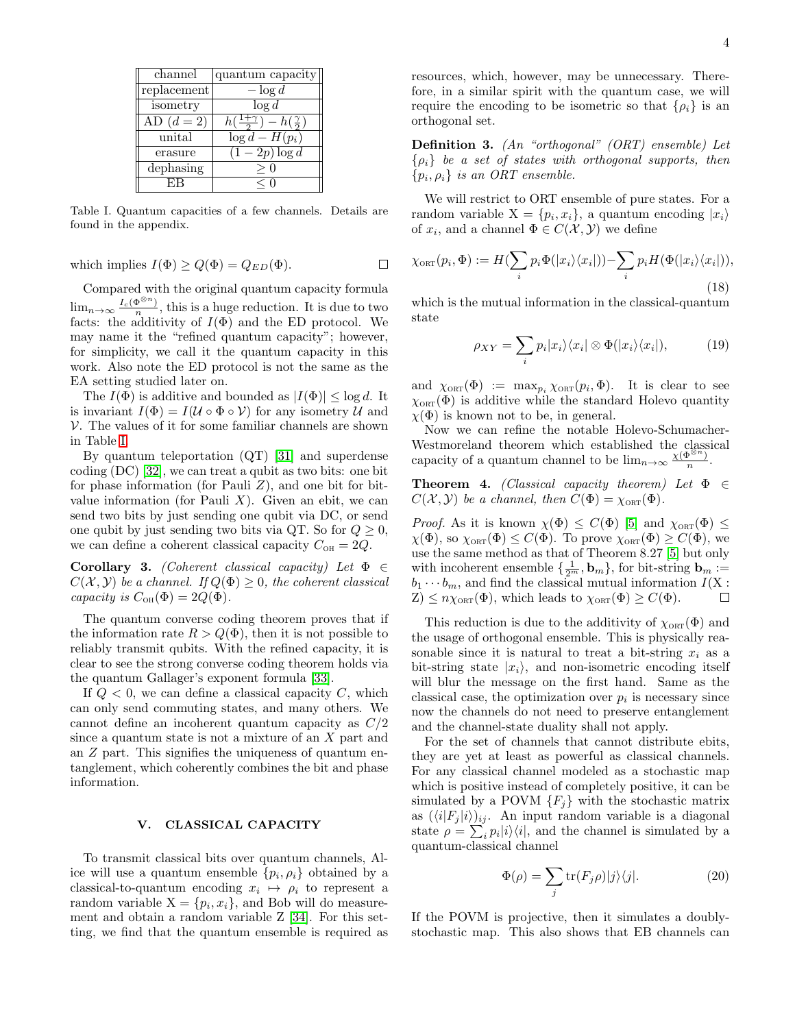| channel     | quantum capacity                            |
|-------------|---------------------------------------------|
| replacement | $-\log d$                                   |
| isometry    | $\log d$                                    |
| AD $(d=2)$  | $h(\frac{1+\gamma}{2})-h(\frac{\gamma}{2})$ |
| unital      | $\log d - H(p_i)$                           |
| erasure     | $\overline{(1-2p)\log d}$                   |
| dephasing   |                                             |
|             |                                             |

<span id="page-3-0"></span>Table I. Quantum capacities of a few channels. Details are found in the appendix.

which implies 
$$
I(\Phi) \ge Q(\Phi) = Q_{ED}(\Phi)
$$
.

Compared with the original quantum capacity formula  $\lim_{n\to\infty}\frac{I_c(\Phi^{\otimes n})}{n}$ , this is a huge reduction. It is due to two facts: the additivity of  $I(\Phi)$  and the ED protocol. We may name it the "refined quantum capacity"; however, for simplicity, we call it the quantum capacity in this work. Also note the ED protocol is not the same as the EA setting studied later on.

The  $I(\Phi)$  is additive and bounded as  $|I(\Phi)| \leq \log d$ . It is invariant  $I(\Phi) = I(\mathcal{U} \circ \Phi \circ \mathcal{V})$  for any isometry  $\mathcal{U}$  and  $V$ . The values of it for some familiar channels are shown in Table [I.](#page-3-0)

By quantum teleportation (QT) [\[31\]](#page-7-27) and superdense coding (DC) [\[32\]](#page-7-28), we can treat a qubit as two bits: one bit for phase information (for Pauli  $Z$ ), and one bit for bitvalue information (for Pauli  $X$ ). Given an ebit, we can send two bits by just sending one qubit via DC, or send one qubit by just sending two bits via QT. So for  $Q \geq 0$ , we can define a coherent classical capacity  $C_{\text{OH}} = 2Q$ .

**Corollary 3.** (Coherent classical capacity) Let  $\Phi \in$  $C(\mathcal{X}, \mathcal{Y})$  be a channel. If  $Q(\Phi) > 0$ , the coherent classical capacity is  $C_{\text{OH}}(\Phi) = 2Q(\Phi)$ .

The quantum converse coding theorem proves that if the information rate  $R > Q(\Phi)$ , then it is not possible to reliably transmit qubits. With the refined capacity, it is clear to see the strong converse coding theorem holds via the quantum Gallager's exponent formula [\[33\]](#page-7-29).

If  $Q < 0$ , we can define a classical capacity C, which can only send commuting states, and many others. We cannot define an incoherent quantum capacity as C/2 since a quantum state is not a mixture of an X part and an Z part. This signifies the uniqueness of quantum entanglement, which coherently combines the bit and phase information.

### V. CLASSICAL CAPACITY

To transmit classical bits over quantum channels, Alice will use a quantum ensemble  $\{p_i, \rho_i\}$  obtained by a classical-to-quantum encoding  $x_i \mapsto \rho_i$  to represent a random variable  $X = \{p_i, x_i\}$ , and Bob will do measurement and obtain a random variable Z [\[34\]](#page-7-30). For this setting, we find that the quantum ensemble is required as resources, which, however, may be unnecessary. Therefore, in a similar spirit with the quantum case, we will require the encoding to be isometric so that  $\{\rho_i\}$  is an orthogonal set.

Definition 3. (An "orthogonal" (ORT) ensemble) Let  $\{\rho_i\}$  be a set of states with orthogonal supports, then  $\{p_i, \rho_i\}$  is an ORT ensemble.

We will restrict to ORT ensemble of pure states. For a random variable  $X = \{p_i, x_i\}$ , a quantum encoding  $|x_i\rangle$ of  $x_i$ , and a channel  $\Phi \in C(\mathcal{X}, \mathcal{Y})$  we define

$$
\chi_{\text{ORT}}(p_i, \Phi) := H(\sum_i p_i \Phi(|x_i\rangle\langle x_i|)) - \sum_i p_i H(\Phi(|x_i\rangle\langle x_i|)),
$$
\n(18)

which is the mutual information in the classical-quantum state

$$
\rho_{XY} = \sum_{i} p_i |x_i\rangle\langle x_i| \otimes \Phi(|x_i\rangle\langle x_i|), \tag{19}
$$

and  $\chi_{\text{ORT}}(\Phi) := \max_{p_i} \chi_{\text{ORT}}(p_i, \Phi)$ . It is clear to see  $\chi_{\text{ORT}}(\Phi)$  is additive while the standard Holevo quantity  $\chi(\Phi)$  is known not to be, in general.

Now we can refine the notable Holevo-Schumacher-Westmoreland theorem which established the classical capacity of a quantum channel to be  $\lim_{n\to\infty} \frac{\chi(\Phi^{\otimes n})}{n}$  $\frac{p^{3}}{n}$ .

**Theorem 4.** (Classical capacity theorem) Let  $\Phi \in$  $C(\mathcal{X}, \mathcal{Y})$  be a channel, then  $C(\Phi) = \chi_{\text{ORT}}(\Phi)$ .

*Proof.* As it is known  $\chi(\Phi) \leq C(\Phi)$  [\[5\]](#page-7-2) and  $\chi_{\text{ORT}}(\Phi) \leq$  $\chi(\Phi)$ , so  $\chi_{\text{ORT}}(\Phi) \leq C(\Phi)$ . To prove  $\chi_{\text{ORT}}(\Phi) \geq C(\Phi)$ , we use the same method as that of Theorem 8.27 [\[5\]](#page-7-2) but only with incoherent ensemble  $\{\frac{1}{2^m}, \mathbf{b}_m\}$ , for bit-string  $\mathbf{b}_m :=$  $b_1 \cdots b_m$ , and find the classical mutual information  $I(X:$  $Z \leq n \chi_{\text{ORT}}(\Phi)$ , which leads to  $\chi_{\text{ORT}}(\Phi) \geq C(\Phi)$ .  $\Box$ 

This reduction is due to the additivity of  $\chi_{\text{ORT}}(\Phi)$  and the usage of orthogonal ensemble. This is physically reasonable since it is natural to treat a bit-string  $x_i$  as a bit-string state  $|x_i\rangle$ , and non-isometric encoding itself will blur the message on the first hand. Same as the classical case, the optimization over  $p_i$  is necessary since now the channels do not need to preserve entanglement and the channel-state duality shall not apply.

For the set of channels that cannot distribute ebits, they are yet at least as powerful as classical channels. For any classical channel modeled as a stochastic map which is positive instead of completely positive, it can be simulated by a POVM  ${F_j}$  with the stochastic matrix as  $(\langle i|F_j|i\rangle)_{ij}$ . An input random variable is a diagonal state  $\rho = \sum_i p_i |i\rangle\langle i|$ , and the channel is simulated by a quantum-classical channel

$$
\Phi(\rho) = \sum_{j} \text{tr}(F_j \rho) |j\rangle\langle j|.
$$
 (20)

If the POVM is projective, then it simulates a doublystochastic map. This also shows that EB channels can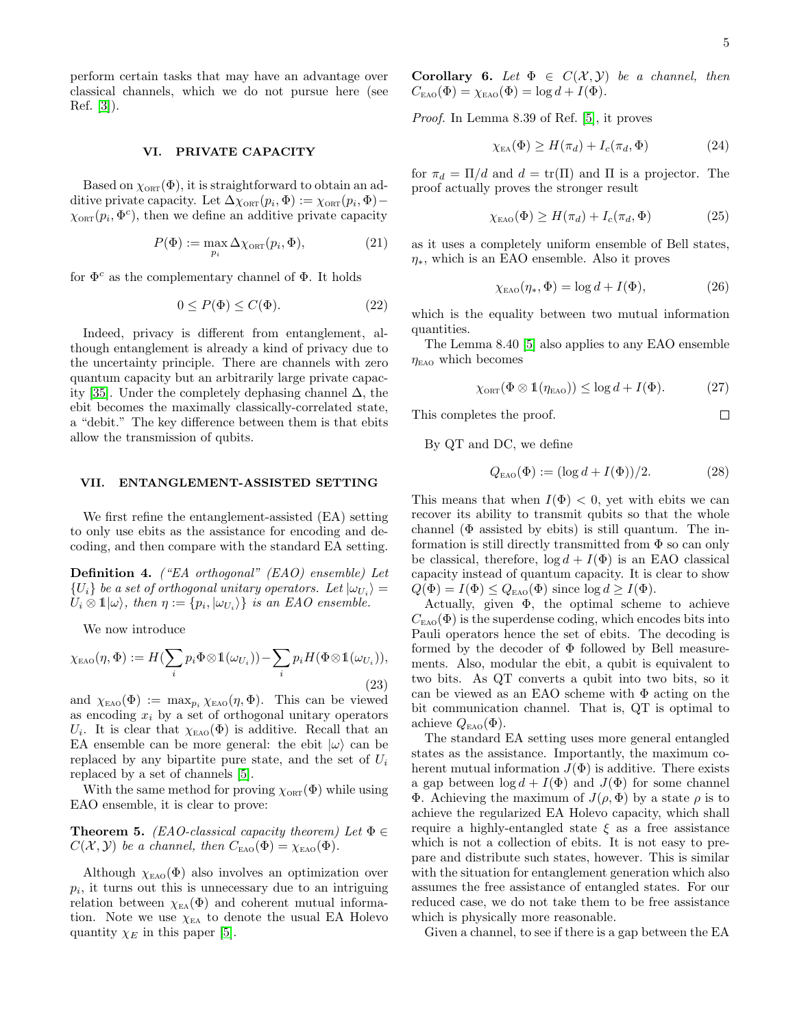$\Box$ 

perform certain tasks that may have an advantage over classical channels, which we do not pursue here (see Ref. [\[3\]](#page-7-19)).

### VI. PRIVATE CAPACITY

Based on  $\chi_{\text{ORT}}(\Phi)$ , it is straightforward to obtain an additive private capacity. Let  $\Delta \chi_{\text{ORT}}(p_i, \Phi) := \chi_{\text{ORT}}(p_i, \Phi) \chi_{\text{ORT}}(p_i, \Phi^c)$ , then we define an additive private capacity

$$
P(\Phi) := \max_{p_i} \Delta \chi_{\text{ORT}}(p_i, \Phi), \tag{21}
$$

for  $\Phi^c$  as the complementary channel of  $\Phi$ . It holds

$$
0 \le P(\Phi) \le C(\Phi). \tag{22}
$$

Indeed, privacy is different from entanglement, although entanglement is already a kind of privacy due to the uncertainty principle. There are channels with zero quantum capacity but an arbitrarily large private capac-ity [\[35\]](#page-7-31). Under the completely dephasing channel  $\Delta$ , the ebit becomes the maximally classically-correlated state, a "debit." The key difference between them is that ebits allow the transmission of qubits.

### VII. ENTANGLEMENT-ASSISTED SETTING

We first refine the entanglement-assisted (EA) setting to only use ebits as the assistance for encoding and decoding, and then compare with the standard EA setting.

Definition 4. ("EA orthogonal" (EAO) ensemble) Let  ${U_i}$  be a set of orthogonal unitary operators. Let  $|\omega_{U_i}\rangle =$  $U_i \otimes 1 | \omega \rangle$ , then  $\eta := \{p_i, |\omega_{U_i}\rangle\}$  is an EAO ensemble.

We now introduce

$$
\chi_{\text{EAO}}(\eta, \Phi) := H(\sum_{i} p_i \Phi \otimes \mathbb{1}(\omega_{U_i})) - \sum_{i} p_i H(\Phi \otimes \mathbb{1}(\omega_{U_i})),
$$
\n(23)

and  $\chi_{EAO}(\Phi) := \max_{p_i} \chi_{EAO}(\eta, \Phi)$ . This can be viewed as encoding  $x_i$  by a set of orthogonal unitary operators U<sub>i</sub>. It is clear that  $\chi_{EAO}(\Phi)$  is additive. Recall that an EA ensemble can be more general: the ebit  $|\omega\rangle$  can be replaced by any bipartite pure state, and the set of  $U_i$ replaced by a set of channels [\[5\]](#page-7-2).

With the same method for proving  $\chi_{\text{ORT}}(\Phi)$  while using EAO ensemble, it is clear to prove:

**Theorem 5.** (EAO-classical capacity theorem) Let  $\Phi \in$  $C(\mathcal{X}, \mathcal{Y})$  be a channel, then  $C_{\text{EAO}}(\Phi) = \chi_{\text{EAO}}(\Phi)$ .

Although  $\chi_{EAO}(\Phi)$  also involves an optimization over  $p_i$ , it turns out this is unnecessary due to an intriguing relation between  $\chi_{EA}(\Phi)$  and coherent mutual information. Note we use  $\chi_{EA}$  to denote the usual EA Holevo quantity  $\chi_E$  in this paper [\[5\]](#page-7-2).

Corollary 6. Let  $\Phi \in C(X, Y)$  be a channel, then  $C_{\text{EAO}}(\Phi) = \chi_{\text{EAO}}(\Phi) = \log d + I(\Phi).$ 

Proof. In Lemma 8.39 of Ref. [\[5\]](#page-7-2), it proves

$$
\chi_{EA}(\Phi) \ge H(\pi_d) + I_c(\pi_d, \Phi)
$$
\n(24)

for  $\pi_d = \Pi/d$  and  $d = \text{tr}(\Pi)$  and  $\Pi$  is a projector. The proof actually proves the stronger result

$$
\chi_{\text{EAO}}(\Phi) \ge H(\pi_d) + I_c(\pi_d, \Phi)
$$
 (25)

as it uses a completely uniform ensemble of Bell states,  $\eta_*$ , which is an EAO ensemble. Also it proves

$$
\chi_{\text{EAO}}(\eta_*, \Phi) = \log d + I(\Phi),\tag{26}
$$

which is the equality between two mutual information quantities.

The Lemma 8.40 [\[5\]](#page-7-2) also applies to any EAO ensemble  $\eta_{EAO}$  which becomes

$$
\chi_{\text{ORT}}(\Phi \otimes \mathbb{1}(\eta_{\text{EAO}})) \le \log d + I(\Phi). \tag{27}
$$

This completes the proof.

By QT and DC, we define

$$
Q_{EAO}(\Phi) := (\log d + I(\Phi))/2.
$$
 (28)

This means that when  $I(\Phi) < 0$ , yet with ebits we can recover its ability to transmit qubits so that the whole channel  $(\Phi$  assisted by ebits) is still quantum. The information is still directly transmitted from  $\Phi$  so can only be classical, therefore,  $\log d + I(\Phi)$  is an EAO classical capacity instead of quantum capacity. It is clear to show  $Q(\Phi) = I(\Phi) \leq Q_{\text{\tiny EAO}}(\Phi)$  since  $\log d \geq I(\Phi)$ .

Actually, given  $\Phi$ , the optimal scheme to achieve  $C_{\text{EAO}}(\Phi)$  is the superdense coding, which encodes bits into Pauli operators hence the set of ebits. The decoding is formed by the decoder of Φ followed by Bell measurements. Also, modular the ebit, a qubit is equivalent to two bits. As QT converts a qubit into two bits, so it can be viewed as an EAO scheme with  $\Phi$  acting on the bit communication channel. That is, QT is optimal to achieve  $Q_{EAO}(\Phi)$ .

The standard EA setting uses more general entangled states as the assistance. Importantly, the maximum coherent mutual information  $J(\Phi)$  is additive. There exists a gap between  $\log d + I(\Phi)$  and  $J(\Phi)$  for some channel Φ. Achieving the maximum of J(ρ, Φ) by a state ρ is to achieve the regularized EA Holevo capacity, which shall require a highly-entangled state  $\xi$  as a free assistance which is not a collection of ebits. It is not easy to prepare and distribute such states, however. This is similar with the situation for entanglement generation which also assumes the free assistance of entangled states. For our reduced case, we do not take them to be free assistance which is physically more reasonable.

Given a channel, to see if there is a gap between the EA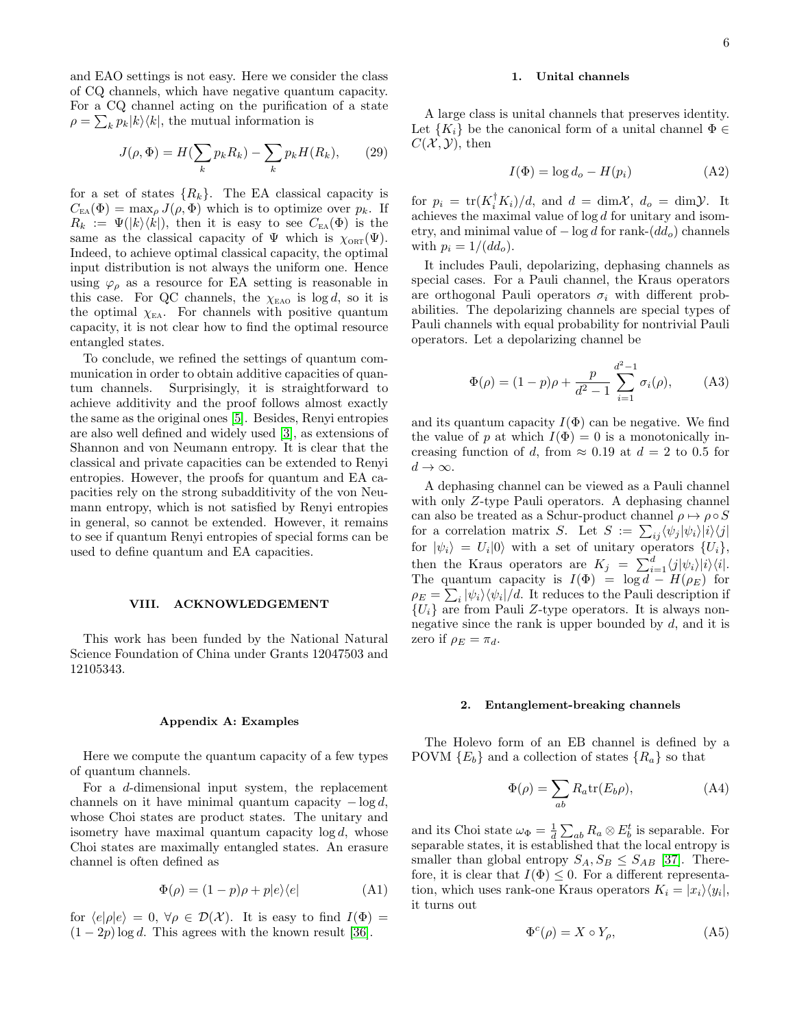and EAO settings is not easy. Here we consider the class of CQ channels, which have negative quantum capacity. For a CQ channel acting on the purification of a state  $\rho = \sum_{k} p_k |k\rangle\langle k|$ , the mutual information is

$$
J(\rho, \Phi) = H(\sum_{k} p_k R_k) - \sum_{k} p_k H(R_k), \qquad (29)
$$

for a set of states  $\{R_k\}$ . The EA classical capacity is  $C_{EA}(\Phi) = \max_{\rho} J(\rho, \Phi)$  which is to optimize over  $p_k$ . If  $R_k := \Psi(|k\rangle\langle k|),$  then it is easy to see  $C_{\text{EA}}(\Phi)$  is the same as the classical capacity of  $\Psi$  which is  $\chi_{\text{ORT}}(\Psi)$ . Indeed, to achieve optimal classical capacity, the optimal input distribution is not always the uniform one. Hence using  $\varphi$  as a resource for EA setting is reasonable in this case. For QC channels, the  $\chi_{EAO}$  is log d, so it is the optimal  $\chi_{EA}$ . For channels with positive quantum capacity, it is not clear how to find the optimal resource entangled states.

To conclude, we refined the settings of quantum communication in order to obtain additive capacities of quantum channels. Surprisingly, it is straightforward to achieve additivity and the proof follows almost exactly the same as the original ones [\[5\]](#page-7-2). Besides, Renyi entropies are also well defined and widely used [\[3\]](#page-7-19), as extensions of Shannon and von Neumann entropy. It is clear that the classical and private capacities can be extended to Renyi entropies. However, the proofs for quantum and EA capacities rely on the strong subadditivity of the von Neumann entropy, which is not satisfied by Renyi entropies in general, so cannot be extended. However, it remains to see if quantum Renyi entropies of special forms can be used to define quantum and EA capacities.

### VIII. ACKNOWLEDGEMENT

This work has been funded by the National Natural Science Foundation of China under Grants 12047503 and 12105343.

#### Appendix A: Examples

Here we compute the quantum capacity of a few types of quantum channels.

For a d-dimensional input system, the replacement channels on it have minimal quantum capacity  $-\log d$ , whose Choi states are product states. The unitary and isometry have maximal quantum capacity  $log d$ , whose Choi states are maximally entangled states. An erasure channel is often defined as

$$
\Phi(\rho) = (1 - p)\rho + p|e\rangle\langle e| \tag{A1}
$$

for  $\langle e|\rho|e\rangle = 0$ ,  $\forall \rho \in \mathcal{D}(\mathcal{X})$ . It is easy to find  $I(\Phi) =$  $(1 - 2p) \log d$ . This agrees with the known result [\[36\]](#page-7-32).

### 1. Unital channels

A large class is unital channels that preserves identity. Let  ${K_i}$  be the canonical form of a unital channel  $\Phi \in$  $C(\mathcal{X}, \mathcal{Y})$ , then

$$
I(\Phi) = \log d_o - H(p_i) \tag{A2}
$$

for  $p_i = \text{tr}(K_i^{\dagger} K_i)/d$ , and  $d = \text{dim}\mathcal{X}$ ,  $d_o = \text{dim}\mathcal{Y}$ . It achieves the maximal value of log d for unitary and isometry, and minimal value of  $-\log d$  for rank- $(dd<sub>o</sub>)$  channels with  $p_i = 1/(dd_o)$ .

It includes Pauli, depolarizing, dephasing channels as special cases. For a Pauli channel, the Kraus operators are orthogonal Pauli operators  $\sigma_i$  with different probabilities. The depolarizing channels are special types of Pauli channels with equal probability for nontrivial Pauli operators. Let a depolarizing channel be

$$
\Phi(\rho) = (1 - p)\rho + \frac{p}{d^2 - 1} \sum_{i=1}^{d^2 - 1} \sigma_i(\rho), \quad (A3)
$$

and its quantum capacity  $I(\Phi)$  can be negative. We find the value of p at which  $I(\Phi) = 0$  is a monotonically increasing function of d, from  $\approx 0.19$  at  $d = 2$  to 0.5 for  $d \to \infty$ .

A dephasing channel can be viewed as a Pauli channel with only Z-type Pauli operators. A dephasing channel can also be treated as a Schur-product channel  $\rho \mapsto \rho \circ S$ for a correlation matrix S. Let  $S := \sum_{ij} \langle \psi_j | \psi_i \rangle | i \rangle \langle j |$ for  $|\psi_i\rangle = U_i |0\rangle$  with a set of unitary operators  $\{U_i\},\$ then the Kraus operators are  $K_j = \sum_{i=1}^d \langle j|\psi_i\rangle|i\rangle\langle i|.$ The quantum capacity is  $I(\Phi) = \log d - H(\rho_E)$  for  $\rho_E = \sum_i |\psi_i\rangle\langle\psi_i|/d.$  It reduces to the Pauli description if  ${U_i}$  are from Pauli Z-type operators. It is always nonnegative since the rank is upper bounded by  $d$ , and it is zero if  $\rho_E = \pi_d$ .

#### 2. Entanglement-breaking channels

The Holevo form of an EB channel is defined by a POVM  ${E_b}$  and a collection of states  ${R_a}$  so that

$$
\Phi(\rho) = \sum_{ab} R_a \text{tr}(E_b \rho), \tag{A4}
$$

and its Choi state  $\omega_{\Phi} = \frac{1}{d} \sum_{ab} R_a \otimes E_b^t$  is separable. For separable states, it is established that the local entropy is smaller than global entropy  $S_A, S_B \leq S_{AB}$  [\[37\]](#page-7-33). Therefore, it is clear that  $I(\Phi) \leq 0$ . For a different representation, which uses rank-one Kraus operators  $K_i = |x_i\rangle\langle y_i|$ , it turns out

$$
\Phi^c(\rho) = X \circ Y_\rho,\tag{A5}
$$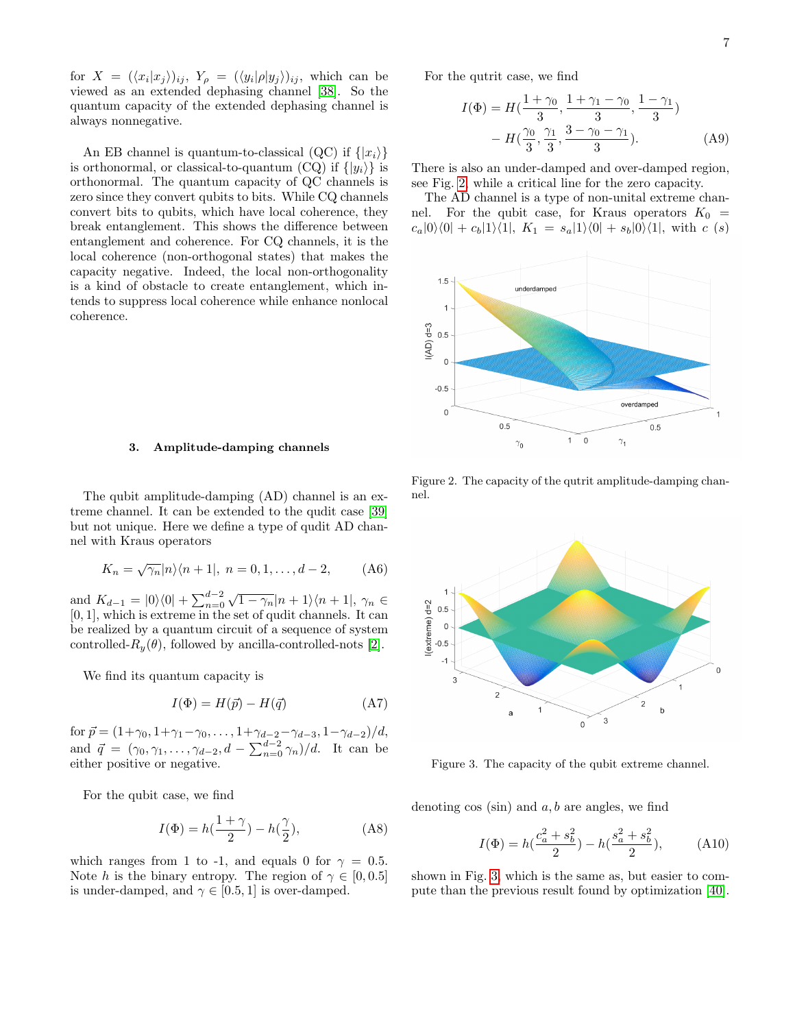for  $X = (\langle x_i|x_j \rangle)_{ij}$ ,  $Y_\rho = (\langle y_i|\rho|y_j \rangle)_{ij}$ , which can be viewed as an extended dephasing channel [\[38\]](#page-7-34). So the quantum capacity of the extended dephasing channel is always nonnegative.

An EB channel is quantum-to-classical (QC) if  $\{|x_i\rangle\}$ is orthonormal, or classical-to-quantum (CQ) if  $\{|y_i\rangle\}$  is orthonormal. The quantum capacity of QC channels is zero since they convert qubits to bits. While CQ channels convert bits to qubits, which have local coherence, they break entanglement. This shows the difference between entanglement and coherence. For CQ channels, it is the local coherence (non-orthogonal states) that makes the capacity negative. Indeed, the local non-orthogonality is a kind of obstacle to create entanglement, which intends to suppress local coherence while enhance nonlocal coherence.

# 3. Amplitude-damping channels

The qubit amplitude-damping (AD) channel is an extreme channel. It can be extended to the qudit case [\[39\]](#page-7-35) but not unique. Here we define a type of qudit AD channel with Kraus operators

$$
K_n = \sqrt{\gamma_n} |n\rangle \langle n+1|, \ n = 0, 1, \dots, d-2, \qquad (A6)
$$

and  $K_{d-1} = |0\rangle\langle 0| + \sum_{n=0}^{d-2}$  $\sqrt{1-\gamma_n}|n+1\rangle\langle n+1|, \gamma_n \in$ [0, 1], which is extreme in the set of qudit channels. It can be realized by a quantum circuit of a sequence of system controlled- $R_u(\theta)$ , followed by ancilla-controlled-nots [\[2\]](#page-7-1).

We find its quantum capacity is

$$
I(\Phi) = H(\vec{p}) - H(\vec{q})\tag{A7}
$$

for  $\vec{p} = (1+\gamma_0, 1+\gamma_1-\gamma_0, \ldots, 1+\gamma_{d-2}-\gamma_{d-3}, 1-\gamma_{d-2})/d$ , and  $\vec{q} = (\gamma_0, \gamma_1, \dots, \gamma_{d-2}, d - \sum_{n=0}^{d-2} \gamma_n)/d$ . It can be either positive or negative.

For the qubit case, we find

$$
I(\Phi) = h(\frac{1+\gamma}{2}) - h(\frac{\gamma}{2}), \qquad (A8)
$$

which ranges from 1 to -1, and equals 0 for  $\gamma = 0.5$ . Note h is the binary entropy. The region of  $\gamma \in [0, 0.5]$ is under-damped, and  $\gamma \in [0.5, 1]$  is over-damped.

For the qutrit case, we find

$$
I(\Phi) = H(\frac{1+\gamma_0}{3}, \frac{1+\gamma_1-\gamma_0}{3}, \frac{1-\gamma_1}{3})
$$

$$
- H(\frac{\gamma_0}{3}, \frac{\gamma_1}{3}, \frac{3-\gamma_0-\gamma_1}{3}).
$$
 (A9)

There is also an under-damped and over-damped region, see Fig. [2,](#page-6-0) while a critical line for the zero capacity.

The AD channel is a type of non-unital extreme channel. For the qubit case, for Kraus operators  $K_0$  =  $c_a|0\rangle\langle 0| + c_b|1\rangle\langle 1|, K_1 = s_a|1\rangle\langle 0| + s_b|0\rangle\langle 1|,$  with c (s)



<span id="page-6-0"></span>Figure 2. The capacity of the qutrit amplitude-damping channel.



<span id="page-6-1"></span>Figure 3. The capacity of the qubit extreme channel.

denoting  $\cos(\sin)$  and  $a, b$  are angles, we find

$$
I(\Phi) = h(\frac{c_a^2 + s_b^2}{2}) - h(\frac{s_a^2 + s_b^2}{2}),
$$
 (A10)

shown in Fig. [3,](#page-6-1) which is the same as, but easier to compute than the previous result found by optimization [\[40\]](#page-7-36).